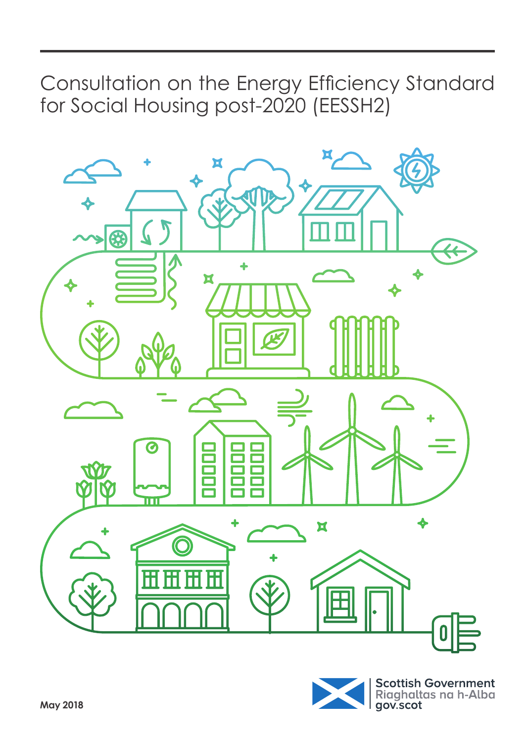Consultation on the Energy Efficiency Standard for Social Housing post-2020 (EESSH2)



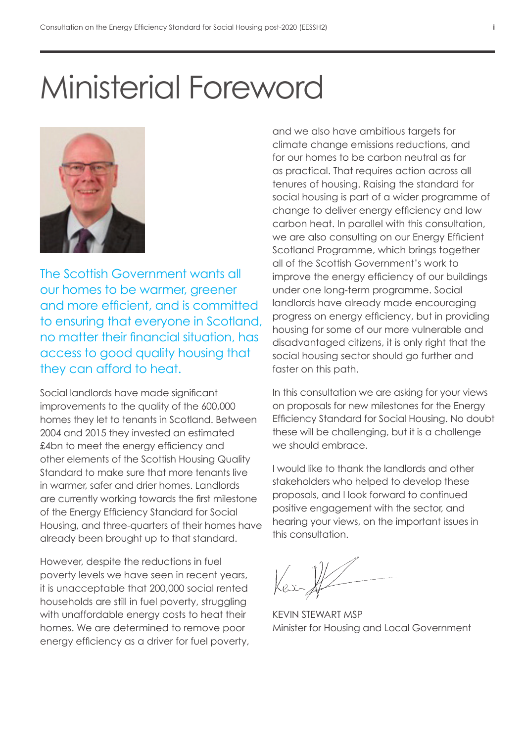# Ministerial Foreword



The Scottish Government wants all our homes to be warmer, greener and more efficient, and is committed to ensuring that everyone in Scotland, no matter their financial situation, has access to good quality housing that they can afford to heat.

Social landlords have made significant improvements to the quality of the 600,000 homes they let to tenants in Scotland. Between 2004 and 2015 they invested an estimated £4bn to meet the energy efficiency and other elements of the Scottish Housing Quality Standard to make sure that more tenants live in warmer, safer and drier homes. Landlords are currently working towards the first milestone of the Energy Efficiency Standard for Social Housing, and three-quarters of their homes have already been brought up to that standard.

However, despite the reductions in fuel poverty levels we have seen in recent years, it is unacceptable that 200,000 social rented households are still in fuel poverty, struggling with unaffordable energy costs to heat their homes. We are determined to remove poor energy efficiency as a driver for fuel poverty,

and we also have ambitious targets for climate change emissions reductions, and for our homes to be carbon neutral as far as practical. That requires action across all tenures of housing. Raising the standard for social housing is part of a wider programme of change to deliver energy efficiency and low carbon heat. In parallel with this consultation, we are also consulting on our Energy Efficient Scotland Programme, which brings together all of the Scottish Government's work to improve the energy efficiency of our buildings under one long-term programme. Social landlords have already made encouraging progress on energy efficiency, but in providing housing for some of our more vulnerable and disadvantaged citizens, it is only right that the social housing sector should go further and faster on this path.

In this consultation we are asking for your views on proposals for new milestones for the Energy Efficiency Standard for Social Housing. No doubt these will be challenging, but it is a challenge we should embrace.

I would like to thank the landlords and other stakeholders who helped to develop these proposals, and I look forward to continued positive engagement with the sector, and hearing your views, on the important issues in this consultation.

KEVIN STEWART MSP Minister for Housing and Local Government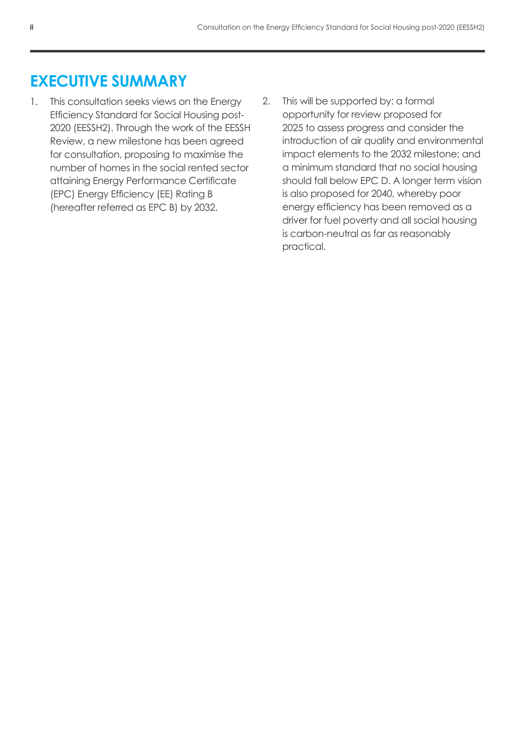# **EXECUTIVE SUMMARY**

- 1. This consultation seeks views on the Energy Efficiency Standard for Social Housing post-2020 (EESSH2). Through the work of the EESSH Review, a new milestone has been agreed for consultation, proposing to maximise the number of homes in the social rented sector attaining Energy Performance Certificate (EPC) Energy Efficiency (EE) Rating B (hereafter referred as EPC B) by 2032.
- 2. This will be supported by: a formal opportunity for review proposed for 2025 to assess progress and consider the introduction of air quality and environmental impact elements to the 2032 milestone; and a minimum standard that no social housing should fall below EPC D. A longer term vision is also proposed for 2040, whereby poor energy efficiency has been removed as a driver for fuel poverty and all social housing is carbon-neutral as far as reasonably practical.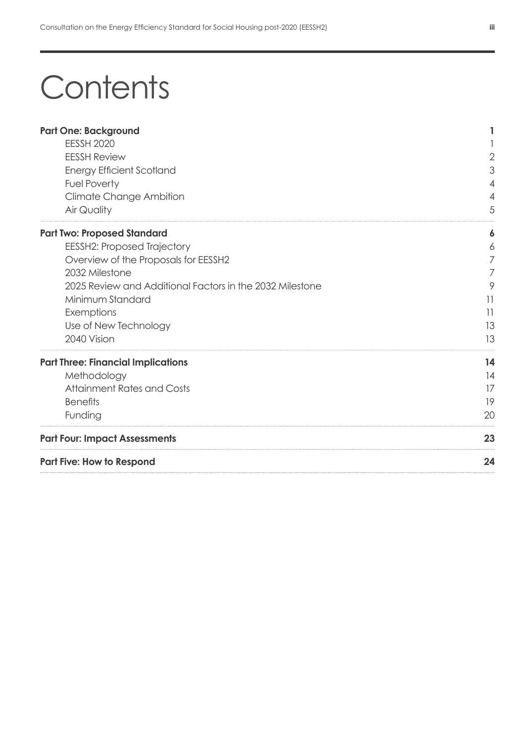# **Contents**

| <b>Part One: Background</b>                              | 1              |
|----------------------------------------------------------|----------------|
| <b>EESSH 2020</b>                                        |                |
| <b>EESSH Review</b>                                      | $\overline{2}$ |
| <b>Energy Efficient Scotland</b>                         | 3              |
| <b>Fuel Poverty</b>                                      | 4              |
| Climate Change Ambition                                  | 4              |
| Air Quality                                              | 5              |
|                                                          |                |
| <b>Part Two: Proposed Standard</b>                       | 6              |
| <b>EESSH2: Proposed Trajectory</b>                       | 6              |
| Overview of the Proposals for EESSH2                     | 7              |
| 2032 Milestone                                           | 7              |
| 2025 Review and Additional Factors in the 2032 Milestone | 9              |
| Minimum Standard                                         | 11             |
| Exemptions                                               | 11             |
| Use of New Technology                                    | 13             |
| 2040 Vision                                              | 13             |
| <b>Part Three: Financial Implications</b>                | 14             |
| Methodology                                              | 14             |
| <b>Attainment Rates and Costs</b>                        | 17             |
| <b>Benefits</b>                                          | 19             |
| Funding                                                  | 20             |
| <b>Part Four: Impact Assessments</b>                     | 23             |
| <b>Part Five: How to Respond</b>                         | 24             |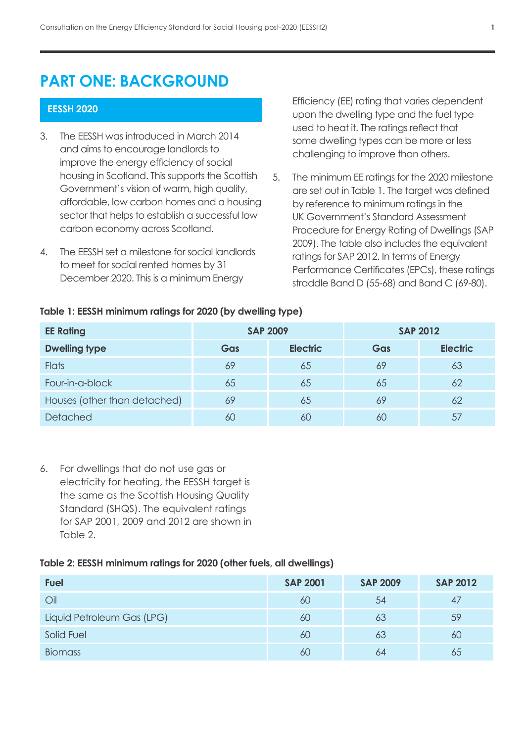# **PART ONE: BACKGROUND**

## **EESSH 2020**

- 3. The EESSH was introduced in March 2014 and aims to encourage landlords to improve the energy efficiency of social housing in Scotland. This supports the Scottish Government's vision of warm, high quality, affordable, low carbon homes and a housing sector that helps to establish a successful low carbon economy across Scotland.
- 4. The EESSH set a milestone for social landlords to meet for social rented homes by 31 December 2020. This is a minimum Energy

Efficiency (EE) rating that varies dependent upon the dwelling type and the fuel type used to heat it. The ratings reflect that some dwelling types can be more or less challenging to improve than others.

5. The minimum EE ratings for the 2020 milestone are set out in Table 1. The target was defined by reference to minimum ratings in the UK Government's Standard Assessment Procedure for Energy Rating of Dwellings (SAP 2009). The table also includes the equivalent ratings for SAP 2012. In terms of Energy Performance Certificates (EPCs), these ratings straddle Band D (55-68) and Band C (69-80).

| <b>EE Rating</b>             | <b>SAP 2009</b> |                 | <b>SAP 2012</b> |                 |
|------------------------------|-----------------|-----------------|-----------------|-----------------|
| <b>Dwelling type</b>         | Gas             | <b>Electric</b> | Gas             | <b>Electric</b> |
| <b>Flats</b>                 | 69              | 65              | 69              | 63              |
| Four-in-a-block              | 65              | 65              | 65              | 62              |
| Houses (other than detached) | 69              | 65              | 69              | 62              |
| <b>Detached</b>              | 60              | 60              | 60              | 57              |

#### **Table 1: EESSH minimum ratings for 2020 (by dwelling type)**

6. For dwellings that do not use gas or electricity for heating, the EESSH target is the same as the Scottish Housing Quality Standard (SHQS). The equivalent ratings for SAP 2001, 2009 and 2012 are shown in Table 2.

#### **Table 2: EESSH minimum ratings for 2020 (other fuels, all dwellings)**

| <b>Fuel</b>                | <b>SAP 2001</b> | <b>SAP 2009</b> | <b>SAP 2012</b> |
|----------------------------|-----------------|-----------------|-----------------|
| Oil                        | 60              | 54              | 47              |
| Liquid Petroleum Gas (LPG) | 60              | 63              | 59              |
| Solid Fuel                 | 60              | 63              | 60              |
| <b>Biomass</b>             | 60              | 64              | 65              |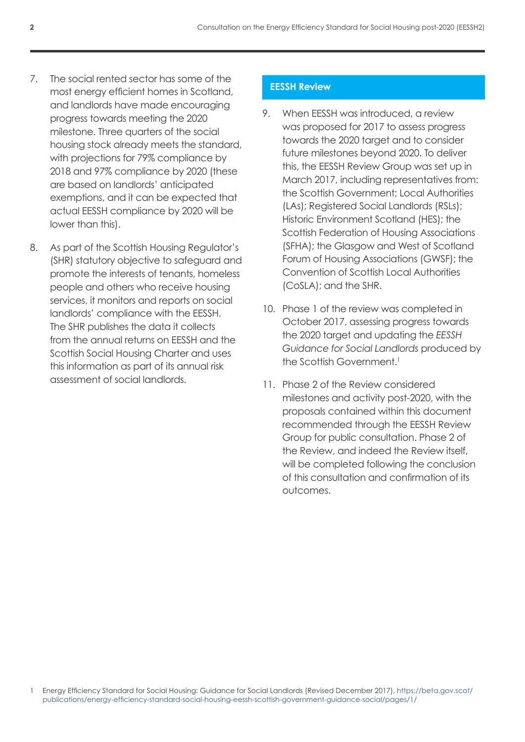- 7. The social rented sector has some of the most energy efficient homes in Scotland, and landlords have made encouraging progress towards meeting the 2020 milestone. Three quarters of the social housing stock already meets the standard, with projections for 79% compliance by 2018 and 97% compliance by 2020 (these are based on landlords' anticipated exemptions, and it can be expected that actual EESSH compliance by 2020 will be lower than this).
- 8. As part of the Scottish Housing Regulator's (SHR) statutory objective to safeguard and promote the interests of tenants, homeless people and others who receive housing services, it monitors and reports on social landlords' compliance with the EESSH. The SHR publishes the data it collects from the annual returns on EESSH and the Scottish Social Housing Charter and uses this information as part of its annual risk assessment of social landlords.

# **EESSH Review**

- 9. When EESSH was introduced, a review was proposed for 2017 to assess progress towards the 2020 target and to consider future milestones beyond 2020. To deliver this, the EESSH Review Group was set up in March 2017, including representatives from: the Scottish Government; Local Authorities (LAs); Registered Social Landlords (RSLs); Historic Environment Scotland (HES); the Scottish Federation of Housing Associations (SFHA); the Glasgow and West of Scotland Forum of Housing Associations (GWSF); the Convention of Scottish Local Authorities (CoSLA); and the SHR.
- 10. Phase 1 of the review was completed in October 2017, assessing progress towards the 2020 target and updating the *EESSH Guidance for Social Landlords* produced by the Scottish Government.<sup>1</sup>
- 11. Phase 2 of the Review considered milestones and activity post-2020, with the proposals contained within this document recommended through the EESSH Review Group for public consultation. Phase 2 of the Review, and indeed the Review itself, will be completed following the conclusion of this consultation and confirmation of its outcomes.

1 Energy Efficiency Standard for Social Housing: Guidance for Social Landlords (Revised December 2017), [https://beta.gov.scot/](https://beta.gov.scot/publications/energy-efficiency-standard-social-housing-eessh-scottish-government-guidance-social/pages/1/) [publications/energy-efficiency-standard-social-housing-eessh-scottish-government-guidance-social/pages/1/](https://beta.gov.scot/publications/energy-efficiency-standard-social-housing-eessh-scottish-government-guidance-social/pages/1/)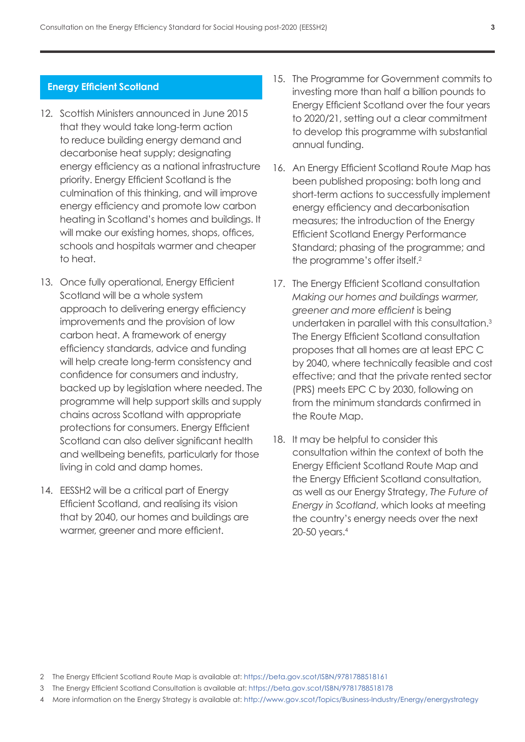#### **Energy Efficient Scotland**

- 12. Scottish Ministers announced in June 2015 that they would take long-term action to reduce building energy demand and decarbonise heat supply; designating energy efficiency as a national infrastructure priority. Energy Efficient Scotland is the culmination of this thinking, and will improve energy efficiency and promote low carbon heating in Scotland's homes and buildings. It will make our existing homes, shops, offices, schools and hospitals warmer and cheaper to heat.
- 13. Once fully operational, Energy Efficient Scotland will be a whole system approach to delivering energy efficiency improvements and the provision of low carbon heat. A framework of energy efficiency standards, advice and funding will help create long-term consistency and confidence for consumers and industry, backed up by legislation where needed. The programme will help support skills and supply chains across Scotland with appropriate protections for consumers. Energy Efficient Scotland can also deliver significant health and wellbeing benefits, particularly for those living in cold and damp homes.
- 14. EESSH2 will be a critical part of Energy Efficient Scotland, and realising its vision that by 2040, our homes and buildings are warmer, greener and more efficient.
- 15. The Programme for Government commits to investing more than half a billion pounds to Energy Efficient Scotland over the four years to 2020/21, setting out a clear commitment to develop this programme with substantial annual funding.
- 16. An Energy Efficient Scotland Route Map has been published proposing: both long and short-term actions to successfully implement energy efficiency and decarbonisation measures; the introduction of the Energy Efficient Scotland Energy Performance Standard; phasing of the programme; and the programme's offer itself.2
- 17. The Energy Efficient Scotland consultation *Making our homes and buildings warmer, greener and more efficient* is being undertaken in parallel with this consultation.3 The Energy Efficient Scotland consultation proposes that all homes are at least EPC C by 2040, where technically feasible and cost effective; and that the private rented sector (PRS) meets EPC C by 2030, following on from the minimum standards confirmed in the Route Map.
- 18. It may be helpful to consider this consultation within the context of both the Energy Efficient Scotland Route Map and the Energy Efficient Scotland consultation, as well as our Energy Strategy, *The Future of Energy in Scotland*, which looks at meeting the country's energy needs over the next 20‑50 years.4

- 3 The Energy Efficient Scotland Consultation is available at:<https://beta.gov.scot/ISBN/9781788518178>
- 4 More information on the Energy Strategy is available at: <http://www.gov.scot/Topics/Business-Industry/Energy/energystrategy>

<sup>2</sup> The Energy Efficient Scotland Route Map is available at: <https://beta.gov.scot/ISBN/9781788518161>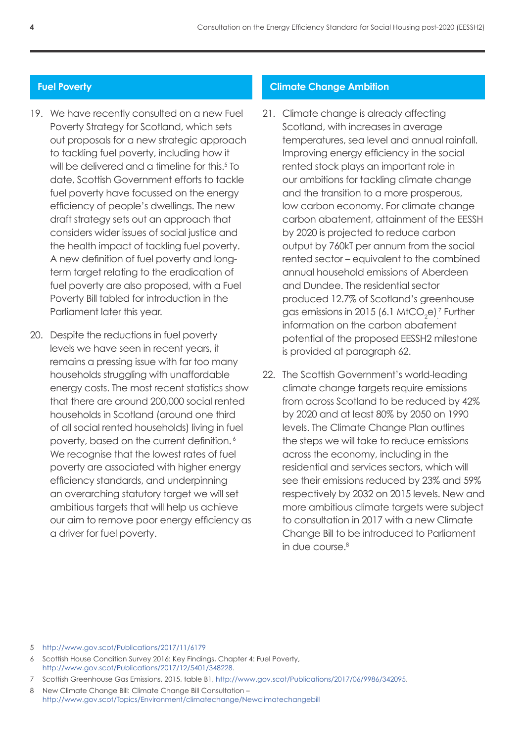## **Fuel Poverty**

- 19. We have recently consulted on a new Fuel Poverty Strategy for Scotland, which sets out proposals for a new strategic approach to tackling fuel poverty, including how it will be delivered and a timeline for this.<sup>5</sup> To date, Scottish Government efforts to tackle fuel poverty have focussed on the energy efficiency of people's dwellings. The new draft strategy sets out an approach that considers wider issues of social justice and the health impact of tackling fuel poverty. A new definition of fuel poverty and longterm target relating to the eradication of fuel poverty are also proposed, with a Fuel Poverty Bill tabled for introduction in the Parliament later this year.
- 20. Despite the reductions in fuel poverty levels we have seen in recent years, it remains a pressing issue with far too many households struggling with unaffordable energy costs. The most recent statistics show that there are around 200,000 social rented households in Scotland (around one third of all social rented households) living in fuel poverty, based on the current definition. 6 We recognise that the lowest rates of fuel poverty are associated with higher energy efficiency standards, and underpinning an overarching statutory target we will set ambitious targets that will help us achieve our aim to remove poor energy efficiency as a driver for fuel poverty.

#### **Climate Change Ambition**

- 21. Climate change is already affecting Scotland, with increases in average temperatures, sea level and annual rainfall. Improving energy efficiency in the social rented stock plays an important role in our ambitions for tackling climate change and the transition to a more prosperous, low carbon economy. For climate change carbon abatement, attainment of the EESSH by 2020 is projected to reduce carbon output by 760kT per annum from the social rented sector – equivalent to the combined annual household emissions of Aberdeen and Dundee. The residential sector produced 12.7% of Scotland's greenhouse gas emissions in 2015 (6.1 MtCO<sub>2</sub>e)<sup>7</sup> Further information on the carbon abatement potential of the proposed EESSH2 milestone is provided at paragraph 62.
- 22. The Scottish Government's world-leading climate change targets require emissions from across Scotland to be reduced by 42% by 2020 and at least 80% by 2050 on 1990 levels. The Climate Change Plan outlines the steps we will take to reduce emissions across the economy, including in the residential and services sectors, which will see their emissions reduced by 23% and 59% respectively by 2032 on 2015 levels. New and more ambitious climate targets were subject to consultation in 2017 with a new Climate Change Bill to be introduced to Parliament in due course.<sup>8</sup>

5 <http://www.gov.scot/Publications/2017/11/6179>

- 6 Scottish House Condition Survey 2016: Key Findings, Chapter 4: Fuel Poverty, [http://www.gov.scot/Publications/2017/12/5401/348228.](http://www.gov.scot/Publications/2017/12/5401/348228)
- 7 Scottish Greenhouse Gas Emissions, 2015, table B1, <http://www.gov.scot/Publications/2017/06/9986/342095>.

8 New Climate Change Bill: Climate Change Bill Consultation – <http://www.gov.scot/Topics/Environment/climatechange/Newclimatechangebill>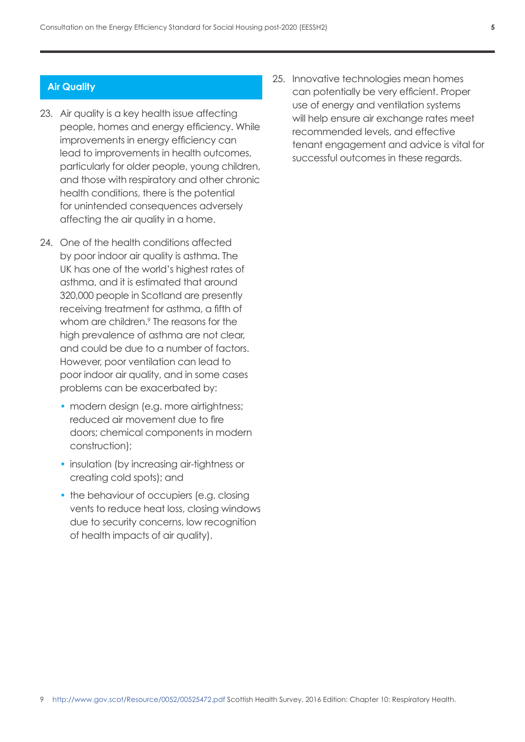## **Air Quality**

- 23. Air quality is a key health issue affecting people, homes and energy efficiency. While improvements in energy efficiency can lead to improvements in health outcomes, particularly for older people, young children, and those with respiratory and other chronic health conditions, there is the potential for unintended consequences adversely affecting the air quality in a home.
- 24. One of the health conditions affected by poor indoor air quality is asthma. The UK has one of the world's highest rates of asthma, and it is estimated that around 320,000 people in Scotland are presently receiving treatment for asthma, a fifth of whom are children.<sup>9</sup> The reasons for the high prevalence of asthma are not clear, and could be due to a number of factors. However, poor ventilation can lead to poor indoor air quality, and in some cases problems can be exacerbated by:
	- modern design (e.g. more airtightness; reduced air movement due to fire doors; chemical components in modern construction);
	- insulation (by increasing air-tightness or creating cold spots); and
	- the behaviour of occupiers (e.g. closing vents to reduce heat loss, closing windows due to security concerns, low recognition of health impacts of air quality).

25. Innovative technologies mean homes can potentially be very efficient. Proper use of energy and ventilation systems will help ensure air exchange rates meet recommended levels, and effective tenant engagement and advice is vital for successful outcomes in these regards.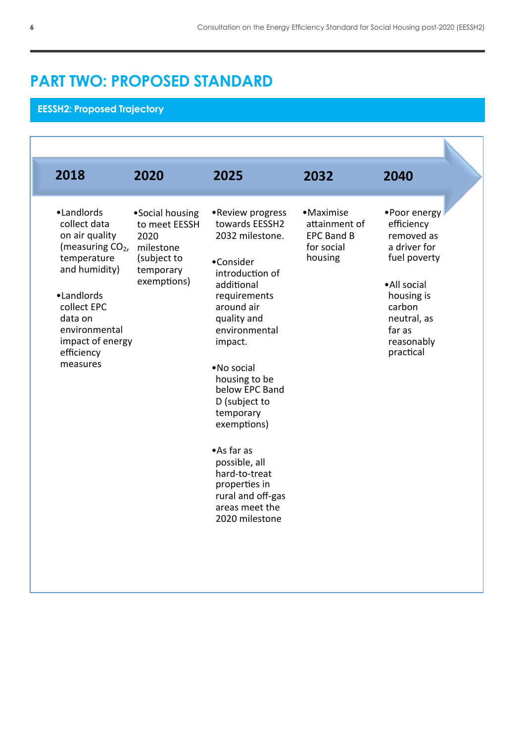# **PART TWO: PROPOSED STANDARD PART TWO: PROPOSED STANDARD**

# **EESSH2: Proposed Trajectory**

| 2018                                                                                                                                                                                                                | 2020                                                                                             | 2025                                                                                                                                                                                                                                                                                                                                                                                                 | 2032                                                                      | 2040                                                                                                                                                                |
|---------------------------------------------------------------------------------------------------------------------------------------------------------------------------------------------------------------------|--------------------------------------------------------------------------------------------------|------------------------------------------------------------------------------------------------------------------------------------------------------------------------------------------------------------------------------------------------------------------------------------------------------------------------------------------------------------------------------------------------------|---------------------------------------------------------------------------|---------------------------------------------------------------------------------------------------------------------------------------------------------------------|
| ·Landlords<br>collect data<br>on air quality<br>(measuring CO <sub>2</sub> ,<br>temperature<br>and humidity)<br>•Landlords<br>collect EPC<br>data on<br>environmental<br>impact of energy<br>efficiency<br>measures | •Social housing<br>to meet EESSH<br>2020<br>milestone<br>(subject to<br>temporary<br>exemptions) | •Review progress<br>towards EESSH2<br>2032 milestone.<br>•Consider<br>introduction of<br>additional<br>requirements<br>around air<br>quality and<br>environmental<br>impact.<br>•No social<br>housing to be<br>below EPC Band<br>D (subject to<br>temporary<br>exemptions)<br>•As far as<br>possible, all<br>hard-to-treat<br>properties in<br>rural and off-gas<br>areas meet the<br>2020 milestone | • Maximise<br>attainment of<br><b>EPC Band B</b><br>for social<br>housing | •Poor energy<br>efficiency<br>removed as<br>a driver for<br>fuel poverty<br>•All social<br>housing is<br>carbon<br>neutral, as<br>far as<br>reasonably<br>practical |

**EESSH2: Proposed Trajectory**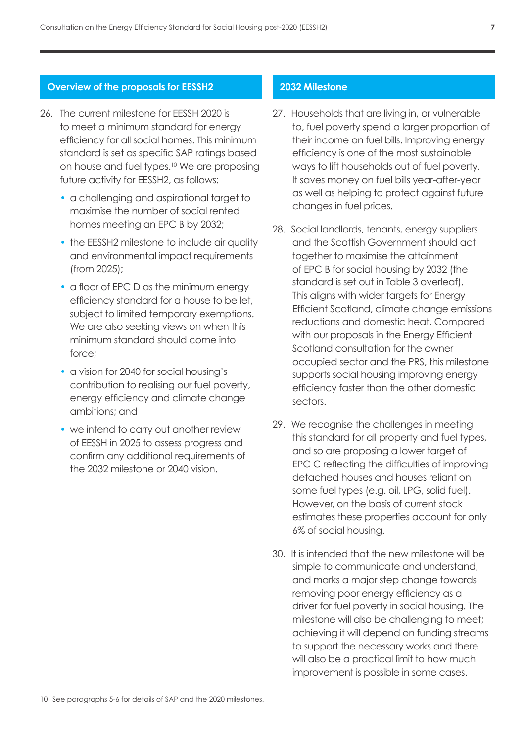#### **Overview of the proposals for EESSH2**

- 26. The current milestone for EESSH 2020 is to meet a minimum standard for energy efficiency for all social homes. This minimum standard is set as specific SAP ratings based on house and fuel types.<sup>10</sup> We are proposing future activity for EESSH2, as follows:
	- a challenging and aspirational target to maximise the number of social rented homes meeting an EPC B by 2032;
	- the EESSH2 milestone to include air quality and environmental impact requirements (from 2025);
	- a floor of EPC D as the minimum energy efficiency standard for a house to be let, subject to limited temporary exemptions. We are also seeking views on when this minimum standard should come into force;
	- a vision for 2040 for social housing's contribution to realising our fuel poverty, energy efficiency and climate change ambitions; and
	- we intend to carry out another review of EESSH in 2025 to assess progress and confirm any additional requirements of the 2032 milestone or 2040 vision.

#### **2032 Milestone**

- <span id="page-10-0"></span>27. Households that are living in, or vulnerable to, fuel poverty spend a larger proportion of their income on fuel bills. Improving energy efficiency is one of the most sustainable ways to lift households out of fuel poverty. It saves money on fuel bills year-after-year as well as helping to protect against future changes in fuel prices.
- 28. Social landlords, tenants, energy suppliers and the Scottish Government should act together to maximise the attainment of EPC B for social housing by 2032 (the standard is set out in Table 3 overleaf). This aligns with wider targets for Energy Efficient Scotland, climate change emissions reductions and domestic heat. Compared with our proposals in the Energy Efficient Scotland consultation for the owner occupied sector and the PRS, this milestone supports social housing improving energy efficiency faster than the other domestic sectors.
- 29. We recognise the challenges in meeting this standard for all property and fuel types, and so are proposing a lower target of EPC C reflecting the difficulties of improving detached houses and houses reliant on some fuel types (e.g. oil, LPG, solid fuel). However, on the basis of current stock estimates these properties account for only 6% of social housing.
- 30. It is intended that the new milestone will be simple to communicate and understand, and marks a major step change towards removing poor energy efficiency as a driver for fuel poverty in social housing. The milestone will also be challenging to meet; achieving it will depend on funding streams to support the necessary works and there will also be a practical limit to how much improvement is possible in some cases.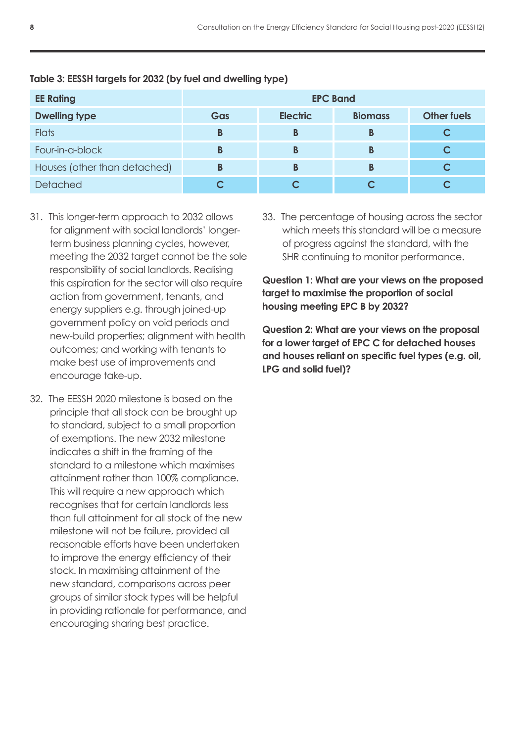| <b>EE Rating</b>             | <b>EPC Band</b> |                 |                |                    |
|------------------------------|-----------------|-----------------|----------------|--------------------|
| <b>Dwelling type</b>         | Gas             | <b>Electric</b> | <b>Biomass</b> | <b>Other fuels</b> |
| <b>Flats</b>                 | B               | В               | В              |                    |
| Four-in-a-block              | В               | В               | В              |                    |
| Houses (other than detached) | B               | B               | B              |                    |
| <b>Detached</b>              |                 |                 |                |                    |

# **Table 3: EESSH targets for 2032 (by fuel and dwelling type)**

- 31. This longer-term approach to 2032 allows for alignment with social landlords' longerterm business planning cycles, however, meeting the 2032 target cannot be the sole responsibility of social landlords. Realising this aspiration for the sector will also require action from government, tenants, and energy suppliers e.g. through joined-up government policy on void periods and new-build properties; alignment with health outcomes; and working with tenants to make best use of improvements and encourage take-up.
- 32. The EESSH 2020 milestone is based on the principle that all stock can be brought up to standard, subject to a small proportion of exemptions. The new 2032 milestone indicates a shift in the framing of the standard to a milestone which maximises attainment rather than 100% compliance. This will require a new approach which recognises that for certain landlords less than full attainment for all stock of the new milestone will not be failure, provided all reasonable efforts have been undertaken to improve the energy efficiency of their stock. In maximising attainment of the new standard, comparisons across peer groups of similar stock types will be helpful in providing rationale for performance, and encouraging sharing best practice.

33. The percentage of housing across the sector which meets this standard will be a measure of progress against the standard, with the SHR continuing to monitor performance.

**Question 1: What are your views on the proposed target to maximise the proportion of social housing meeting EPC B by 2032?**

**Question 2: What are your views on the proposal for a lower target of EPC C for detached houses and houses reliant on specific fuel types (e.g. oil, LPG and solid fuel)?**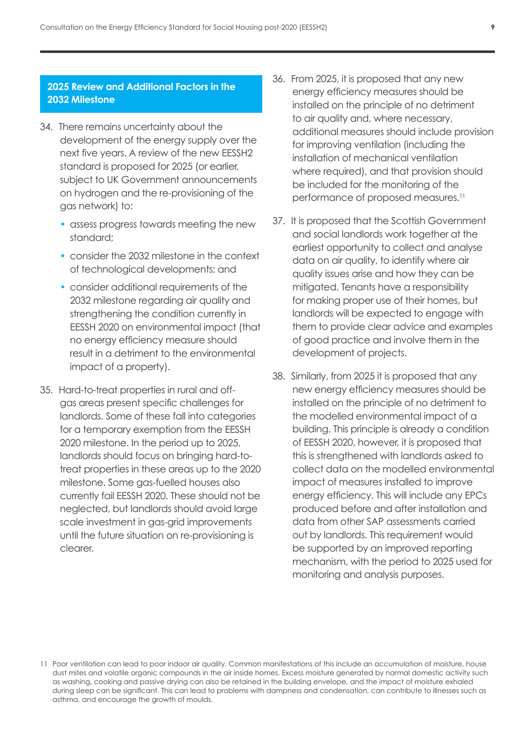# **2025 Review and Additional Factors in the 2032 Milestone**

- 34. There remains uncertainty about the development of the energy supply over the next five years. A review of the new EESSH2 standard is proposed for 2025 (or earlier, subject to UK Government announcements on hydrogen and the re-provisioning of the gas network) to:
	- assess progress towards meeting the new standard;
	- consider the 2032 milestone in the context of technological developments; and
	- consider additional requirements of the 2032 milestone regarding air quality and strengthening the condition currently in EESSH 2020 on environmental impact (that no energy efficiency measure should result in a detriment to the environmental impact of a property).
- 35. Hard-to-treat properties in rural and offgas areas present specific challenges for landlords. Some of these fall into categories for a temporary exemption from the EESSH 2020 milestone. In the period up to 2025, landlords should focus on bringing hard-totreat properties in these areas up to the 2020 milestone. Some gas-fuelled houses also currently fail EESSH 2020. These should not be neglected, but landlords should avoid large scale investment in gas-grid improvements until the future situation on re-provisioning is clearer.
- 36. From 2025, it is proposed that any new energy efficiency measures should be installed on the principle of no detriment to air quality and, where necessary, additional measures should include provision for improving ventilation (including the installation of mechanical ventilation where required), and that provision should be included for the monitoring of the performance of proposed measures.<sup>11</sup>
- 37. It is proposed that the Scottish Government and social landlords work together at the earliest opportunity to collect and analyse data on air quality, to identify where air quality issues arise and how they can be mitigated. Tenants have a responsibility for making proper use of their homes, but landlords will be expected to engage with them to provide clear advice and examples of good practice and involve them in the development of projects.
- 38. Similarly, from 2025 it is proposed that any new energy efficiency measures should be installed on the principle of no detriment to the modelled environmental impact of a building. This principle is already a condition of EESSH 2020, however, it is proposed that this is strengthened with landlords asked to collect data on the modelled environmental impact of measures installed to improve energy efficiency. This will include any EPCs produced before and after installation and data from other SAP assessments carried out by landlords. This requirement would be supported by an improved reporting mechanism, with the period to 2025 used for monitoring and analysis purposes.

<sup>11</sup> Poor ventilation can lead to poor indoor air quality. Common manifestations of this include an accumulation of moisture, house dust mites and volatile organic compounds in the air inside homes. Excess moisture generated by normal domestic activity such as washing, cooking and passive drying can also be retained in the building envelope, and the impact of moisture exhaled during sleep can be significant. This can lead to problems with dampness and condensation, can contribute to illnesses such as asthma, and encourage the growth of moulds.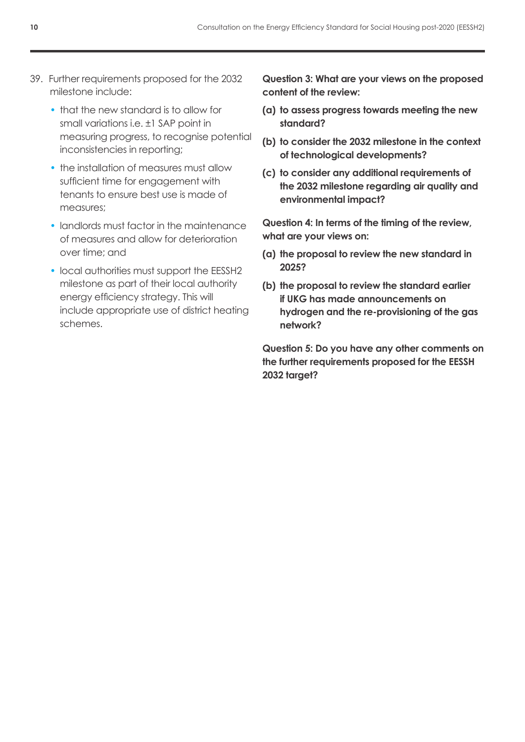- 39. Further requirements proposed for the 2032 milestone include:
	- that the new standard is to allow for small variations i.e. ±1 SAP point in measuring progress, to recognise potential inconsistencies in reporting;
	- the installation of measures must allow sufficient time for engagement with tenants to ensure best use is made of measures;
	- landlords must factor in the maintenance of measures and allow for deterioration over time; and
	- local authorities must support the EESSH2 milestone as part of their local authority energy efficiency strategy. This will include appropriate use of district heating schemes.

**Question 3: What are your views on the proposed content of the review:** 

- **(a) to assess progress towards meeting the new standard?**
- **(b) to consider the 2032 milestone in the context of technological developments?**
- **(c) to consider any additional requirements of the 2032 milestone regarding air quality and environmental impact?**

**Question 4: In terms of the timing of the review, what are your views on:** 

- **(a) the proposal to review the new standard in 2025?**
- **(b) the proposal to review the standard earlier if UKG has made announcements on hydrogen and the re-provisioning of the gas network?**

**Question 5: Do you have any other comments on the further requirements proposed for the EESSH 2032 target?**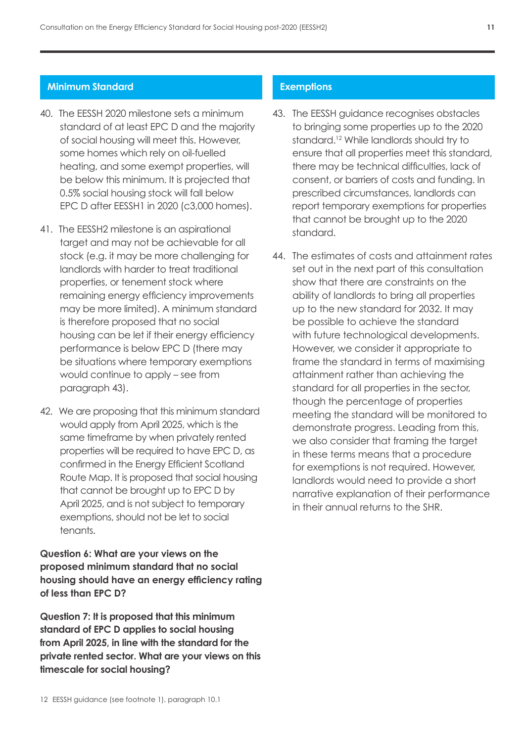## **Minimum Standard**

- 40. The EESSH 2020 milestone sets a minimum standard of at least EPC D and the majority of social housing will meet this. However, some homes which rely on oil-fuelled heating, and some exempt properties, will be below this minimum. It is projected that 0.5% social housing stock will fall below EPC D after EESSH1 in 2020 (c3,000 homes).
- 41. The EESSH2 milestone is an aspirational target and may not be achievable for all stock (e.g. it may be more challenging for landlords with harder to treat traditional properties, or tenement stock where remaining energy efficiency improvements may be more limited). A minimum standard is therefore proposed that no social housing can be let if their energy efficiency performance is below EPC D (there may be situations where temporary exemptions would continue to apply – see from paragraph [4](#page-14-0)3).
- 42. We are proposing that this minimum standard would apply from April 2025, which is the same timeframe by when privately rented properties will be required to have EPC D, as confirmed in the Energy Efficient Scotland Route Map. It is proposed that social housing that cannot be brought up to EPC D by April 2025, and is not subject to temporary exemptions, should not be let to social tenants.

# **Question 6: What are your views on the proposed minimum standard that no social housing should have an energy efficiency rating of less than EPC D?**

**Question 7: It is proposed that this minimum standard of EPC D applies to social housing from April 2025, in line with the standard for the private rented sector. What are your views on this timescale for social housing?**

#### **Exemptions**

- <span id="page-14-0"></span>43. The EESSH guidance recognises obstacles to bringing some properties up to the 2020 standard.<sup>12</sup> While landlords should try to ensure that all properties meet this standard, there may be technical difficulties, lack of consent, or barriers of costs and funding. In prescribed circumstances, landlords can report temporary exemptions for properties that cannot be brought up to the 2020 standard.
- 44. The estimates of costs and attainment rates set out in the next part of this consultation show that there are constraints on the ability of landlords to bring all properties up to the new standard for 2032. It may be possible to achieve the standard with future technological developments. However, we consider it appropriate to frame the standard in terms of maximising attainment rather than achieving the standard for all properties in the sector, though the percentage of properties meeting the standard will be monitored to demonstrate progress. Leading from this, we also consider that framing the target in these terms means that a procedure for exemptions is not required. However, landlords would need to provide a short narrative explanation of their performance in their annual returns to the SHR.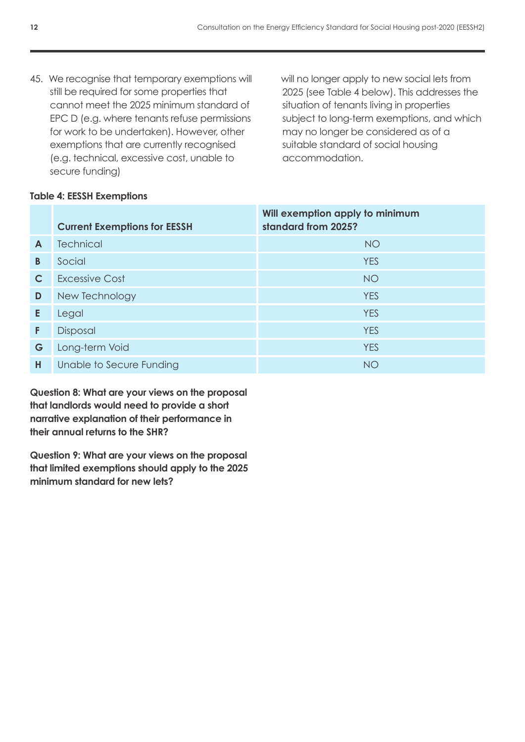45. We recognise that temporary exemptions will still be required for some properties that cannot meet the 2025 minimum standard of EPC D (e.g. where tenants refuse permissions for work to be undertaken). However, other exemptions that are currently recognised (e.g. technical, excessive cost, unable to secure funding)

will no longer apply to new social lets from 2025 (see Table 4 below). This addresses the situation of tenants living in properties subject to long-term exemptions, and which may no longer be considered as of a suitable standard of social housing accommodation.

| able 4: EESSH Exemptions |                                     |                                                        |  |  |
|--------------------------|-------------------------------------|--------------------------------------------------------|--|--|
|                          | <b>Current Exemptions for EESSH</b> | Will exemption apply to minimum<br>standard from 2025? |  |  |
| A                        | <b>Technical</b>                    | <b>NO</b>                                              |  |  |
| B                        | Social                              | <b>YES</b>                                             |  |  |
| C                        | <b>Excessive Cost</b>               | <b>NO</b>                                              |  |  |
| D                        | New Technology                      | <b>YES</b>                                             |  |  |
| E                        | Legal                               | <b>YES</b>                                             |  |  |
| F.                       | Disposal                            | <b>YES</b>                                             |  |  |
| G                        | Long-term Void                      | <b>YES</b>                                             |  |  |
| н                        | Unable to Secure Funding            | <b>NO</b>                                              |  |  |

# **Table**

**Question 8: What are your views on the proposal that landlords would need to provide a short narrative explanation of their performance in their annual returns to the SHR?**

**Question 9: What are your views on the proposal that limited exemptions should apply to the 2025 minimum standard for new lets?**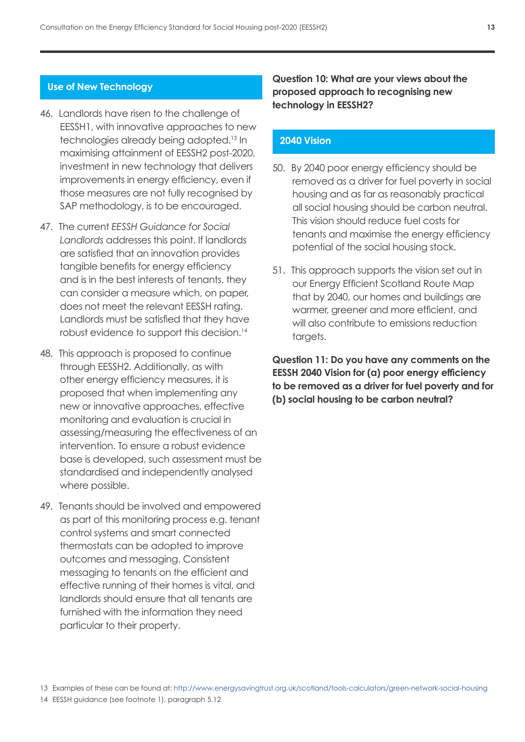#### **Use of New Technology**

- 46. Landlords have risen to the challenge of EESSH1, with innovative approaches to new technologies already being adopted.13 In maximising attainment of EESSH2 post-2020, investment in new technology that delivers improvements in energy efficiency, even if those measures are not fully recognised by SAP methodology, is to be encouraged.
- 47. The current *EESSH Guidance for Social Landlords* addresses this point. If landlords are satisfied that an innovation provides tangible benefits for energy efficiency and is in the best interests of tenants, they can consider a measure which, on paper, does not meet the relevant EESSH rating. Landlords must be satisfied that they have robust evidence to support this decision.<sup>14</sup>
- 48. This approach is proposed to continue through EESSH2. Additionally, as with other energy efficiency measures, it is proposed that when implementing any new or innovative approaches, effective monitoring and evaluation is crucial in assessing/measuring the effectiveness of an intervention. To ensure a robust evidence base is developed, such assessment must be standardised and independently analysed where possible.
- 49. Tenants should be involved and empowered as part of this monitoring process e.g. tenant control systems and smart connected thermostats can be adopted to improve outcomes and messaging. Consistent messaging to tenants on the efficient and effective running of their homes is vital, and landlords should ensure that all tenants are furnished with the information they need particular to their property.

**Question 10: What are your views about the proposed approach to recognising new technology in EESSH2?**

## **2040 Vision**

- 50. By 2040 poor energy efficiency should be removed as a driver for fuel poverty in social housing and as far as reasonably practical all social housing should be carbon neutral. This vision should reduce fuel costs for tenants and maximise the energy efficiency potential of the social housing stock.
- 51. This approach supports the vision set out in our Energy Efficient Scotland Route Map that by 2040, our homes and buildings are warmer, greener and more efficient, and will also contribute to emissions reduction targets.

**Question 11: Do you have any comments on the EESSH 2040 Vision for (a) poor energy efficiency to be removed as a driver for fuel poverty and for (b) social housing to be carbon neutral?**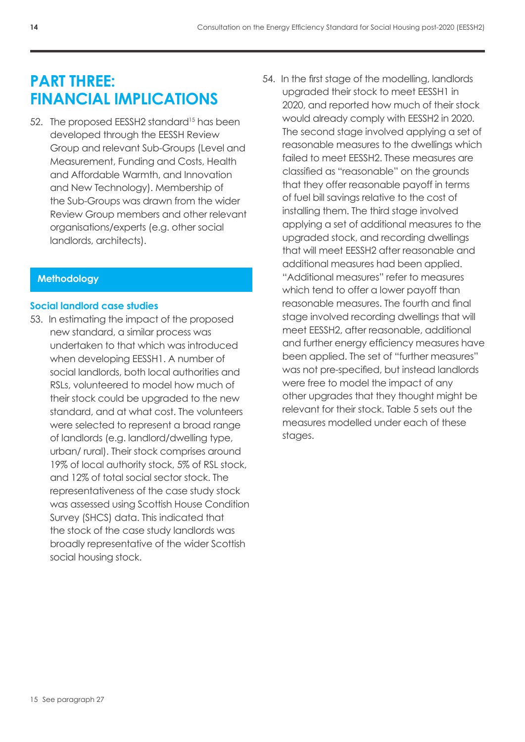# **PART THREE: FINANCIAL IMPLICATIONS**

52. The proposed EESSH2 standard<sup>15</sup> has been developed through the EESSH Review Group and relevant Sub-Groups (Level and Measurement, Funding and Costs, Health and Affordable Warmth, and Innovation and New Technology). Membership of the Sub-Groups was drawn from the wider Review Group members and other relevant organisations/experts (e.g. other social landlords, architects).

# **Methodology**

# **Social landlord case studies**

- 53. In estimating the impact of the proposed new standard, a similar process was undertaken to that which was introduced when developing EESSH1. A number of social landlords, both local authorities and RSLs, volunteered to model how much of their stock could be upgraded to the new standard, and at what cost. The volunteers were selected to represent a broad range of landlords (e.g. landlord/dwelling type, urban/ rural). Their stock comprises around 19% of local authority stock, 5% of RSL stock, and 12% of total social sector stock. The representativeness of the case study stock was assessed using Scottish House Condition Survey (SHCS) data. This indicated that the stock of the case study landlords was broadly representative of the wider Scottish social housing stock.
- 54. In the first stage of the modelling, landlords upgraded their stock to meet EESSH1 in 2020, and reported how much of their stock would already comply with EESSH2 in 2020. The second stage involved applying a set of reasonable measures to the dwellings which failed to meet EESSH2. These measures are classified as "reasonable" on the grounds that they offer reasonable payoff in terms of fuel bill savings relative to the cost of installing them. The third stage involved applying a set of additional measures to the upgraded stock, and recording dwellings that will meet EESSH2 after reasonable and additional measures had been applied. "Additional measures" refer to measures which tend to offer a lower payoff than reasonable measures. The fourth and final stage involved recording dwellings that will meet EESSH2, after reasonable, additional and further energy efficiency measures have been applied. The set of "further measures" was not pre-specified, but instead landlords were free to model the impact of any other upgrades that they thought might be relevant for their stock. Table 5 sets out the measures modelled under each of these stages.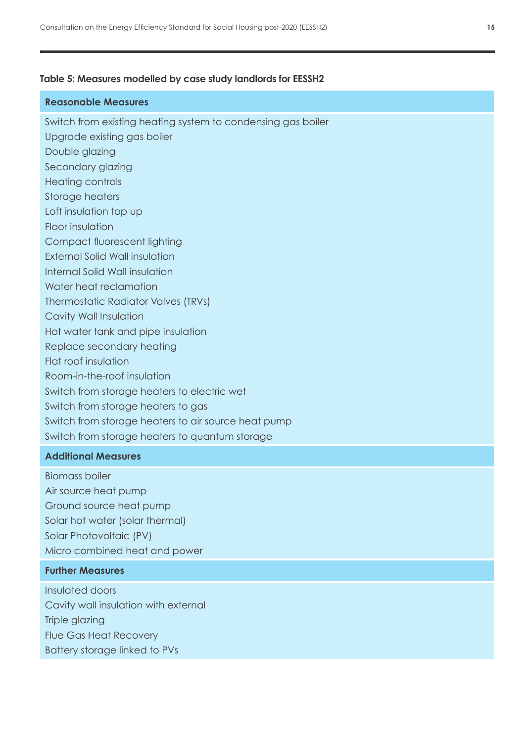#### **Table 5: Measures modelled by case study landlords for EESSH2**

## **Reasonable Measures**

Switch from existing heating system to condensing gas boiler

- Upgrade existing gas boiler
- Double glazing
- Secondary glazing
- Heating controls
- Storage heaters
- Loft insulation top up
- Floor insulation
- Compact fluorescent lighting
- External Solid Wall insulation
- Internal Solid Wall insulation
- Water heat reclamation
- Thermostatic Radiator Valves (TRVs)
- Cavity Wall Insulation
- Hot water tank and pipe insulation
- Replace secondary heating
- Flat roof insulation
- Room-in-the-roof insulation
- Switch from storage heaters to electric wet
- Switch from storage heaters to gas
- Switch from storage heaters to air source heat pump
- Switch from storage heaters to quantum storage

## **Additional Measures**

Biomass boiler Air source heat pump Ground source heat pump Solar hot water (solar thermal) Solar Photovoltaic (PV) Micro combined heat and power

#### **Further Measures**

Insulated doors Cavity wall insulation with external Triple glazing Flue Gas Heat Recovery Battery storage linked to PVs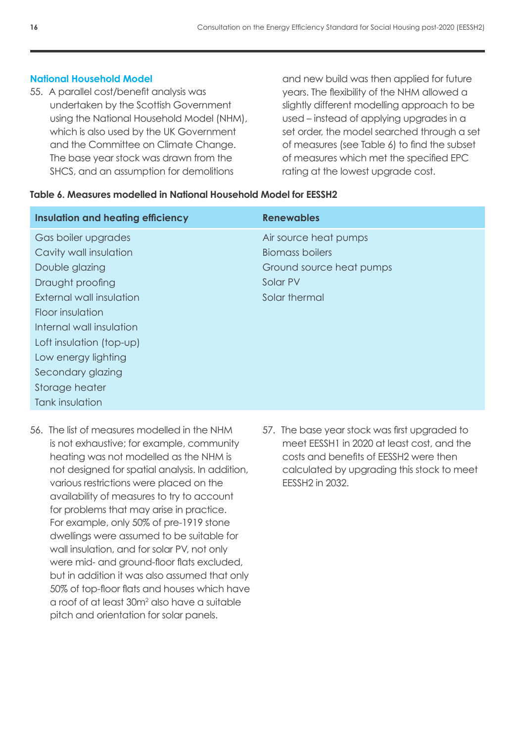## **National Household Model**

55. A parallel cost/benefit analysis was undertaken by the Scottish Government using the National Household Model (NHM), which is also used by the UK Government and the Committee on Climate Change. The base year stock was drawn from the SHCS, and an assumption for demolitions

and new build was then applied for future years. The flexibility of the NHM allowed a slightly different modelling approach to be used – instead of applying upgrades in a set order, the model searched through a set of measures (see Table 6) to find the subset of measures which met the specified EPC rating at the lowest upgrade cost.

#### **Table 6. Measures modelled in National Household Model for EESSH2**

| <b>Insulation and heating efficiency</b> | <b>Renewables</b>        |
|------------------------------------------|--------------------------|
| Gas boiler upgrades                      | Air source heat pumps    |
| Cavity wall insulation                   | <b>Biomass boilers</b>   |
| Double glazing                           | Ground source heat pumps |
| Draught proofing                         | Solar PV                 |
| External wall insulation                 | Solar thermal            |
| Floor insulation                         |                          |
| Internal wall insulation                 |                          |
| Loft insulation (top-up)                 |                          |
| Low energy lighting                      |                          |
| Secondary glazing                        |                          |
| Storage heater                           |                          |
| Tank insulation                          |                          |

- 56. The list of measures modelled in the NHM is not exhaustive; for example, community heating was not modelled as the NHM is not designed for spatial analysis. In addition, various restrictions were placed on the availability of measures to try to account for problems that may arise in practice. For example, only 50% of pre-1919 stone dwellings were assumed to be suitable for wall insulation, and for solar PV, not only were mid- and ground-floor flats excluded, but in addition it was also assumed that only 50% of top-floor flats and houses which have a roof of at least 30m<sup>2</sup> also have a suitable pitch and orientation for solar panels.
- 57. The base year stock was first upgraded to meet EESSH1 in 2020 at least cost, and the costs and benefits of EESSH2 were then calculated by upgrading this stock to meet EESSH2 in 2032.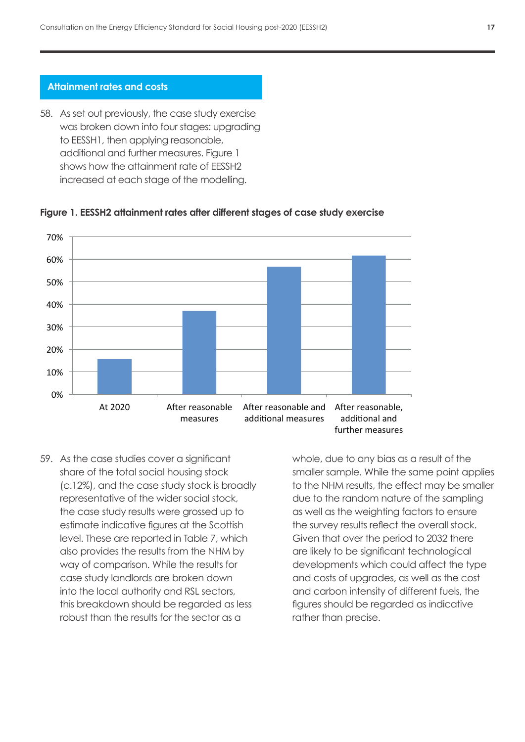#### **Attainment rates and costs**

58. As set out previously, the case study exercise was broken down into four stages: upgrading to EESSH1, then applying reasonable, additional and further measures. Figure 1 shows how the attainment rate of EESSH2 increased at each stage of the modelling.



# **Figure 1. EESSH2 attainment rates after different stages of case study exercise Figure 1. EESSH2 attainment rates after different stages of case study exercise**

59. As the case studies cover a significant share on the total whole, due to any bias as a result share of the total social housing stock smaller sample. While the same (c.12%), and the case study stock is broadly to the NHM results, the effect me representative of the wider social stock, extending the random nature of the the case study results were grossed up to and the weighting factors estimate indicative figures at the Scottish the survey results reflect the overal and RSL sectors, the survey results reflect the overal level. These are reported in Table 7, which and the server than the region of the sector as level. These are reported in Table 7, which also provides the results from the NHM by are likely to be significant technique sample. The sample of the sample. The sample of the NHM by way of comparison. While the results for developments which could affect the survey of comparison. case study landlords are broken down enthand over that one of upgrades, as well d into the local authority and RSL sectors, extending and carbon intensity of different this breakdown should be regarded as less entigures should be regarded as intensive robust than the results for the sector as a results, the effect may be smaller to the random nature of the sampling as the same of the sampling as the sampling as the same of the sampling as the same of the sampling as the same of the sampling as the same of the sam

whole, due to any bias as a result of the smaller sample. While the same point applies to the NHM results, the effect may be smaller due to the random nature of the sampling as well as the weighting factors to ensure the survey results reflect the overall stock. Given that over the period to 2032 there are likely to be significant technological developments which could affect the type and costs of upgrades, as well as the cost and carbon intensity of different fuels, the figures should be regarded as indicative rather than precise.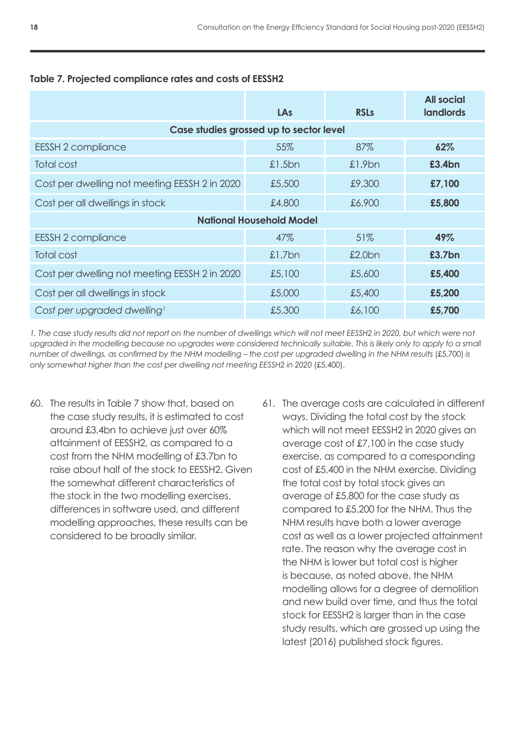|                                               | LAs                                     | <b>RSLs</b> | <b>All social</b><br><b>landlords</b> |
|-----------------------------------------------|-----------------------------------------|-------------|---------------------------------------|
|                                               | Case studies grossed up to sector level |             |                                       |
| <b>EESSH 2 compliance</b>                     | 55%                                     | 87%         | 62%                                   |
| <b>Total cost</b>                             | £1.5bn                                  | $£1.9$ bn   | £3.4bn                                |
| Cost per dwelling not meeting EESSH 2 in 2020 | £5,500                                  | £9,300      | £7,100                                |
| Cost per all dwellings in stock               | £4,800                                  | £6,900      | £5,800                                |
| <b>National Household Model</b>               |                                         |             |                                       |
| <b>EESSH 2 compliance</b>                     | 47%                                     | 51%         | 49%                                   |
| <b>Total cost</b>                             | £1.7bn                                  | £2.0bn      | £3.7bn                                |
| Cost per dwelling not meeting EESSH 2 in 2020 | £5,100                                  | £5,600      | £5,400                                |
| Cost per all dwellings in stock               | £5,000                                  | £5,400      | £5,200                                |
| Cost per upgraded dwelling <sup>1</sup>       | £5,300                                  | £6,100      | £5,700                                |

# **Table 7. Projected compliance rates and costs of EESSH2**

*1. The case study results did not report on the number of dwellings which will not meet EESSH2 in 2020, but which were not*  upgraded in the modelling because no upgrades were considered technically suitable. This is likely only to apply to a small *number of dwellings, as confirmed by the NHM modelling – the cost per upgraded dwelling in the NHM results* (£5,700) *is only somewhat higher than the cost per dwelling not meeting EESSH2 in 2020* (£5,400).

- 60. The results in Table 7 show that, based on the case study results, it is estimated to cost around £3.4bn to achieve just over 60% attainment of EESSH2, as compared to a cost from the NHM modelling of £3.7bn to raise about half of the stock to EESSH2. Given the somewhat different characteristics of the stock in the two modelling exercises, differences in software used, and different modelling approaches, these results can be considered to be broadly similar.
- 61. The average costs are calculated in different ways. Dividing the total cost by the stock which will not meet EESSH2 in 2020 gives an average cost of £7,100 in the case study exercise, as compared to a corresponding cost of £5,400 in the NHM exercise. Dividing the total cost by total stock gives an average of £5,800 for the case study as compared to £5,200 for the NHM. Thus the NHM results have both a lower average cost as well as a lower projected attainment rate. The reason why the average cost in the NHM is lower but total cost is higher is because, as noted above, the NHM modelling allows for a degree of demolition and new build over time, and thus the total stock for EESSH2 is larger than in the case study results, which are grossed up using the latest (2016) published stock figures.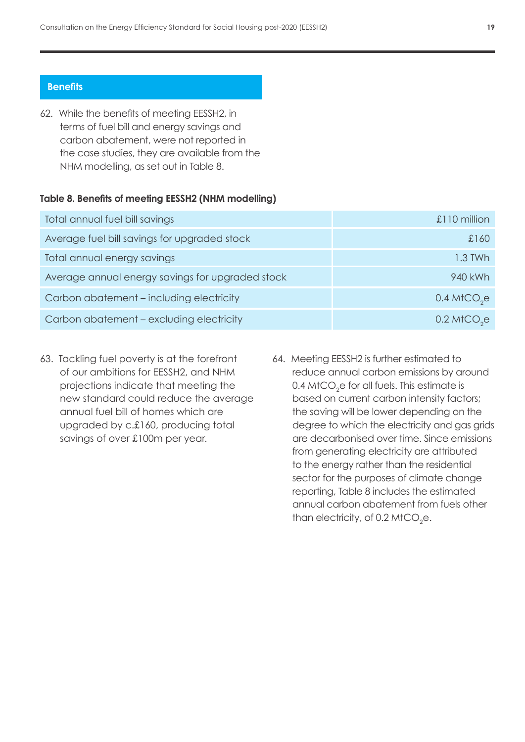#### **Benefits**

62. While the benefits of meeting EESSH2, in terms of fuel bill and energy savings and carbon abatement, were not reported in the case studies, they are available from the NHM modelling, as set out in Table 8.

#### **Table 8. Benefits of meeting EESSH2 (NHM modelling)**

| Total annual fuel bill savings                   | £110 million              |
|--------------------------------------------------|---------------------------|
| Average fuel bill savings for upgraded stock     | £160                      |
| Total annual energy savings                      | 1.3 TWh                   |
| Average annual energy savings for upgraded stock | 940 kWh                   |
| Carbon abatement – including electricity         | $0.4$ MtCO <sub>2</sub> e |
| Carbon abatement – excluding electricity         | $0.2$ MtCO <sub>2</sub> e |

- 63. Tackling fuel poverty is at the forefront of our ambitions for EESSH2, and NHM projections indicate that meeting the new standard could reduce the average annual fuel bill of homes which are upgraded by c.£160, producing total savings of over £100m per year.
- 64. Meeting EESSH2 is further estimated to reduce annual carbon emissions by around 0.4 MtCO $_2$ e for all fuels. This estimate is based on current carbon intensity factors; the saving will be lower depending on the degree to which the electricity and gas grids are decarbonised over time. Since emissions from generating electricity are attributed to the energy rather than the residential sector for the purposes of climate change reporting, Table 8 includes the estimated annual carbon abatement from fuels other than electricity, of 0.2 MtCO<sub>2</sub>e.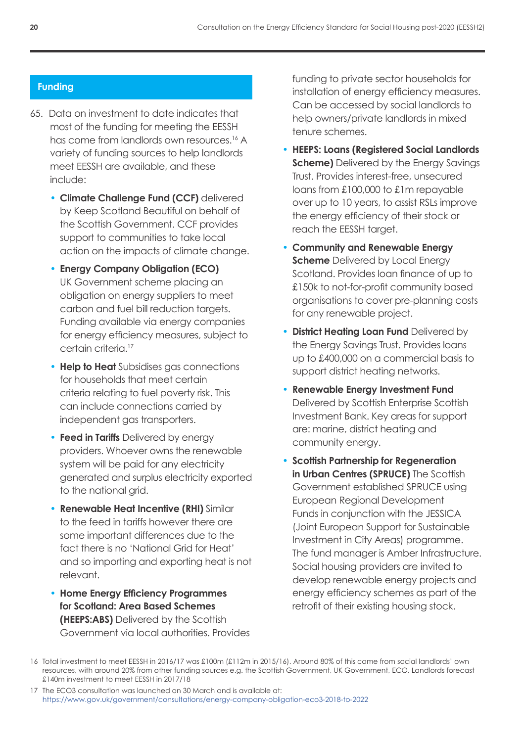# **Funding**

- 65. Data on investment to date indicates that most of the funding for meeting the EESSH has come from landlords own resources.<sup>16</sup> A variety of funding sources to help landlords meet EESSH are available, and these include:
	- **Climate Challenge Fund (CCF)** delivered by Keep Scotland Beautiful on behalf of the Scottish Government. CCF provides support to communities to take local action on the impacts of climate change.
	- **Energy Company Obligation (ECO)**  UK Government scheme placing an obligation on energy suppliers to meet carbon and fuel bill reduction targets. Funding available via energy companies for energy efficiency measures, subject to certain criteria.<sup>17</sup>
	- **Help to Heat** Subsidises gas connections for households that meet certain criteria relating to fuel poverty risk. This can include connections carried by independent gas transporters.
	- **Feed in Tariffs** Delivered by energy providers. Whoever owns the renewable system will be paid for any electricity generated and surplus electricity exported to the national grid.
	- **Renewable Heat Incentive (RHI)** Similar to the feed in tariffs however there are some important differences due to the fact there is no 'National Grid for Heat' and so importing and exporting heat is not relevant.
	- **Home Energy Efficiency Programmes for Scotland: Area Based Schemes (HEEPS:ABS)** Delivered by the Scottish Government via local authorities. Provides

funding to private sector households for installation of energy efficiency measures. Can be accessed by social landlords to help owners/private landlords in mixed tenure schemes.

- **HEEPS: Loans (Registered Social Landlords Scheme)** Delivered by the Energy Savings Trust. Provides interest-free, unsecured loans from £100,000 to £1m repayable over up to 10 years, to assist RSLs improve the energy efficiency of their stock or reach the EESSH target.
- **Community and Renewable Energy Scheme** Delivered by Local Energy Scotland. Provides loan finance of up to £150k to not-for-profit community based organisations to cover pre-planning costs for any renewable project.
- **District Heating Loan Fund** Delivered by the Energy Savings Trust. Provides loans up to £400,000 on a commercial basis to support district heating networks.
- **Renewable Energy Investment Fund**  Delivered by Scottish Enterprise Scottish Investment Bank. Key areas for support are: marine, district heating and community energy.
- **Scottish Partnership for Regeneration in Urban Centres (SPRUCE)** The Scottish Government established SPRUCE using European Regional Development Funds in conjunction with the JESSICA (Joint European Support for Sustainable Investment in City Areas) programme. The fund manager is Amber Infrastructure. Social housing providers are invited to develop renewable energy projects and energy efficiency schemes as part of the retrofit of their existing housing stock.

<sup>16</sup> Total investment to meet EESSH in 2016/17 was £100m (£112m in 2015/16). Around 80% of this came from social landlords' own resources, with around 20% from other funding sources e.g. the Scottish Government, UK Government, ECO. Landlords forecast £140m investment to meet EESSH in 2017/18

<sup>17</sup> The ECO3 consultation was launched on 30 March and is available at: <https://www.gov.uk/government/consultations/energy-company-obligation-eco3-2018-to-2022>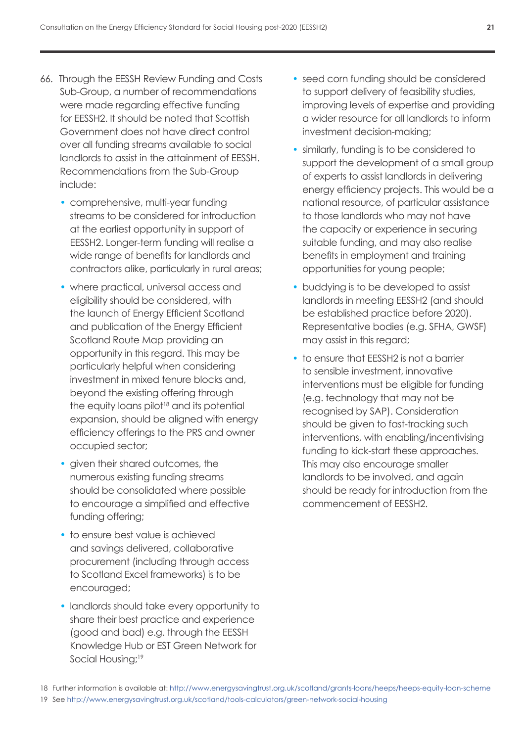- 66. Through the EESSH Review Funding and Costs Sub-Group, a number of recommendations were made regarding effective funding for EESSH2. It should be noted that Scottish Government does not have direct control over all funding streams available to social landlords to assist in the attainment of EESSH. Recommendations from the Sub-Group include:
	- comprehensive, multi-year funding streams to be considered for introduction at the earliest opportunity in support of EESSH2. Longer-term funding will realise a wide range of benefits for landlords and contractors alike, particularly in rural areas;
	- where practical, universal access and eligibility should be considered, with the launch of Energy Efficient Scotland and publication of the Energy Efficient Scotland Route Map providing an opportunity in this regard. This may be particularly helpful when considering investment in mixed tenure blocks and, beyond the existing offering through the equity loans pilot<sup>18</sup> and its potential expansion, should be aligned with energy efficiency offerings to the PRS and owner occupied sector;
	- given their shared outcomes, the numerous existing funding streams should be consolidated where possible to encourage a simplified and effective funding offering;
	- to ensure best value is achieved and savings delivered, collaborative procurement (including through access to Scotland Excel frameworks) is to be encouraged;
	- landlords should take every opportunity to share their best practice and experience (good and bad) e.g. through the EESSH Knowledge Hub or EST Green Network for Social Housing;<sup>19</sup>
- seed corn funding should be considered to support delivery of feasibility studies, improving levels of expertise and providing a wider resource for all landlords to inform investment decision-making;
- similarly, funding is to be considered to support the development of a small group of experts to assist landlords in delivering energy efficiency projects. This would be a national resource, of particular assistance to those landlords who may not have the capacity or experience in securing suitable funding, and may also realise benefits in employment and training opportunities for young people;
- buddying is to be developed to assist landlords in meeting EESSH2 (and should be established practice before 2020). Representative bodies (e.g. SFHA, GWSF) may assist in this regard;
- to ensure that EESSH2 is not a barrier to sensible investment, innovative interventions must be eligible for funding (e.g. technology that may not be recognised by SAP). Consideration should be given to fast-tracking such interventions, with enabling/incentivising funding to kick-start these approaches. This may also encourage smaller landlords to be involved, and again should be ready for introduction from the commencement of EESSH2.

18 Further information is available at: <http://www.energysavingtrust.org.uk/scotland/grants-loans/heeps/heeps-equity-loan-scheme> 19 See<http://www.energysavingtrust.org.uk/scotland/tools-calculators/green-network-social-housing>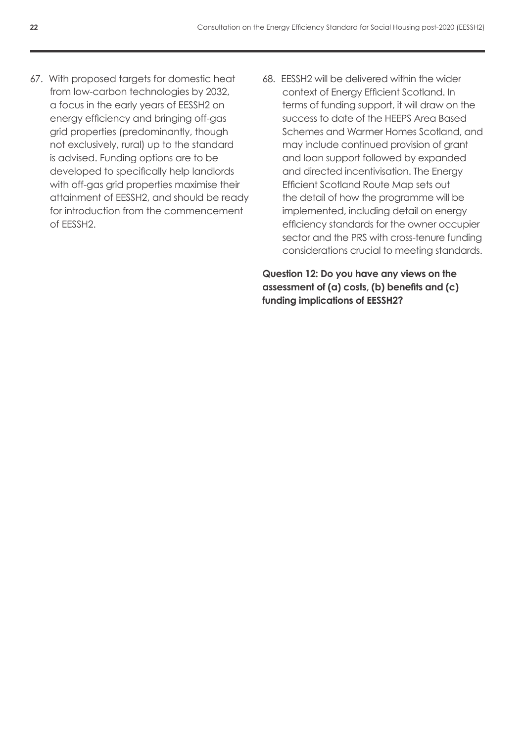- 67. With proposed targets for domestic heat from low-carbon technologies by 2032, a focus in the early years of EESSH2 on energy efficiency and bringing off-gas grid properties (predominantly, though not exclusively, rural) up to the standard is advised. Funding options are to be developed to specifically help landlords with off-gas grid properties maximise their attainment of EESSH2, and should be ready for introduction from the commencement of EESSH2.
- 68. EESSH2 will be delivered within the wider context of Energy Efficient Scotland. In terms of funding support, it will draw on the success to date of the HEEPS Area Based Schemes and Warmer Homes Scotland, and may include continued provision of grant and loan support followed by expanded and directed incentivisation. The Energy Efficient Scotland Route Map sets out the detail of how the programme will be implemented, including detail on energy efficiency standards for the owner occupier sector and the PRS with cross-tenure funding considerations crucial to meeting standards.

**Question 12: Do you have any views on the assessment of (a) costs, (b) benefits and (c) funding implications of EESSH2?**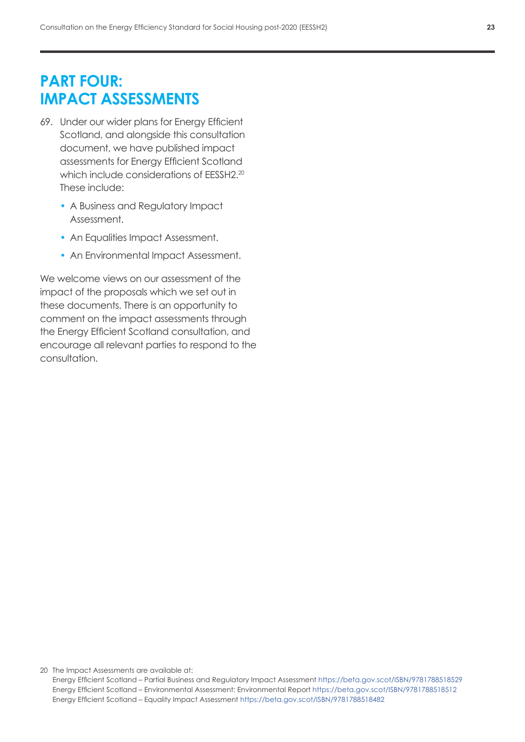# **PART FOUR: IMPACT ASSESSMENTS**

- 69. Under our wider plans for Energy Efficient Scotland, and alongside this consultation document, we have published impact assessments for Energy Efficient Scotland which include considerations of EESSH2.<sup>20</sup> These include:
	- A Business and Regulatory Impact Assessment.
	- An Equalities Impact Assessment.
	- An Environmental Impact Assessment.

We welcome views on our assessment of the impact of the proposals which we set out in these documents. There is an opportunity to comment on the impact assessments through the Energy Efficient Scotland consultation, and encourage all relevant parties to respond to the consultation.

20 The Impact Assessments are available at:

Energy Efficient Scotland – Partial Business and Regulatory Impact Assessment<https://beta.gov.scot/ISBN/9781788518529> Energy Efficient Scotland – Environmental Assessment: Environmental Report <https://beta.gov.scot/ISBN/9781788518512> Energy Efficient Scotland – Equality Impact Assessment <https://beta.gov.scot/ISBN/9781788518482>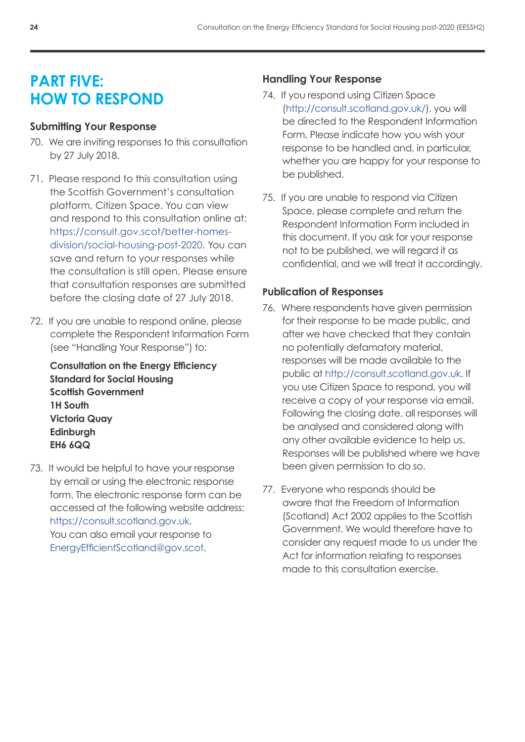# **PART FIVE: HOW TO RESPOND**

# **Submitting Your Response**

- 70. We are inviting responses to this consultation by 27 July 2018.
- 71. Please respond to this consultation using the Scottish Government's consultation platform, Citizen Space. You can view and respond to this consultation online at: [https://consult.gov.scot/better-homes](https://consult.gov.scot/better-homes-division/social-housing-post-2020)[division/social-housing-post-2020.](https://consult.gov.scot/better-homes-division/social-housing-post-2020) You can save and return to your responses while the consultation is still open. Please ensure that consultation responses are submitted before the closing date of 27 July 2018.
- 72. If you are unable to respond online, please complete the Respondent Information Form (see "Handling Your Response") to:

**Consultation on the Energy Efficiency Standard for Social Housing Scottish Government 1H South Victoria Quay Edinburgh EH6 6QQ**

73. It would be helpful to have your response by email or using the electronic response form. The electronic response form can be accessed at the following website address: [https://consult.scotland.gov.uk.](https://consult.scotland.gov.uk) You can also email your response to [EnergyEfficientScotland@gov.scot.](mailto:EnergyEfficientScotland%40gov.scot?subject=)

# **Handling Your Response**

- 74. If you respond using Citizen Space [\(http://consult.scotland.gov.uk/\)](http://consult.scotland.gov.uk/), you will be directed to the Respondent Information Form. Please indicate how you wish your response to be handled and, in particular, whether you are happy for your response to be published.
- 75. If you are unable to respond via Citizen Space, please complete and return the Respondent Information Form included in this document. If you ask for your response not to be published, we will regard it as confidential, and we will treat it accordingly.

# **Publication of Responses**

- 76. Where respondents have given permission for their response to be made public, and after we have checked that they contain no potentially defamatory material, responses will be made available to the public at [http://consult.scotland.gov.uk.](http://consult.scotland.gov.uk/) If you use Citizen Space to respond, you will receive a copy of your response via email. Following the closing date, all responses will be analysed and considered along with any other available evidence to help us. Responses will be published where we have been given permission to do so.
- 77. Everyone who responds should be aware that the Freedom of Information (Scotland) Act 2002 applies to the Scottish Government. We would therefore have to consider any request made to us under the Act for information relating to responses made to this consultation exercise.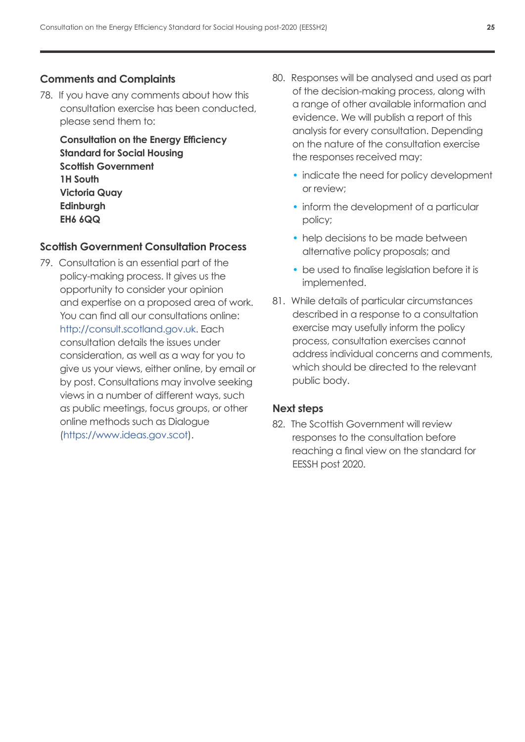# **Comments and Complaints**

78. If you have any comments about how this consultation exercise has been conducted, please send them to:

**Consultation on the Energy Efficiency Standard for Social Housing Scottish Government 1H South Victoria Quay Edinburgh EH6 6QQ**

# **Scottish Government Consultation Process**

79. Consultation is an essential part of the policy‑making process. It gives us the opportunity to consider your opinion and expertise on a proposed area of work. You can find all our consultations online: [http://consult.scotland.gov.uk](http://consult.scotland.gov.uk/). Each consultation details the issues under consideration, as well as a way for you to give us your views, either online, by email or by post. Consultations may involve seeking views in a number of different ways, such as public meetings, focus groups, or other online methods such as Dialogue [\(https://www.ideas.gov.scot\)](https://www.ideas.gov.scot).

- 80. Responses will be analysed and used as part of the decision-making process, along with a range of other available information and evidence. We will publish a report of this analysis for every consultation. Depending on the nature of the consultation exercise the responses received may:
	- indicate the need for policy development or review;
	- inform the development of a particular policy;
	- help decisions to be made between alternative policy proposals; and
	- be used to finalise leaislation before it is implemented.
- 81. While details of particular circumstances described in a response to a consultation exercise may usefully inform the policy process, consultation exercises cannot address individual concerns and comments, which should be directed to the relevant public body.

# **Next steps**

82. The Scottish Government will review responses to the consultation before reaching a final view on the standard for EESSH post 2020.